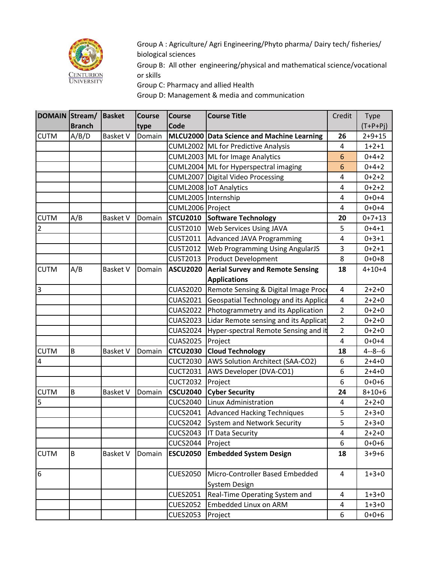

Group A : Agriculture/ Agri Engineering/Phyto pharma/ Dairy tech/ fisheries/ biological sciences

Group B: All other engineering/physical and mathematical science/vocational or skills

Group C: Pharmacy and allied Health

Group D: Management & media and communication

| DOMAIN Stream/   |               | Basket          | <b>Course</b> | <b>Course</b>       | <b>Course Title</b>                          | Credit         | Type         |
|------------------|---------------|-----------------|---------------|---------------------|----------------------------------------------|----------------|--------------|
|                  | <b>Branch</b> |                 | type          | Code                |                                              |                | $(T+P+Pj)$   |
| <b>CUTM</b>      | A/B/D         | <b>Basket V</b> | Domain        |                     | MLCU2000 Data Science and Machine Learning   | 26             | $2+9+15$     |
|                  |               |                 |               |                     | CUML2002 ML for Predictive Analysis          | 4              | $1 + 2 + 1$  |
|                  |               |                 |               |                     | CUML2003 ML for Image Analytics              | 6              | $0+4+2$      |
|                  |               |                 |               |                     | CUML2004 ML for Hyperspectral imaging        | 6              | $0+4+2$      |
|                  |               |                 |               | <b>CUML2007</b>     | Digital Video Processing                     | 4              | $0+2+2$      |
|                  |               |                 |               |                     | CUML2008   IoT Analytics                     | 4              | $0+2+2$      |
|                  |               |                 |               | CUML2005 Internship |                                              | 4              | $0+0+4$      |
|                  |               |                 |               | CUML2006 Project    |                                              | 4              | $0+0+4$      |
| <b>CUTM</b>      | A/B           | <b>Basket V</b> | Domain        | <b>STCU2010</b>     | Software Technology                          | 20             | $0+7+13$     |
| $\overline{2}$   |               |                 |               | <b>CUST2010</b>     | Web Services Using JAVA                      | 5              | $0+4+1$      |
|                  |               |                 |               | <b>CUST2011</b>     | <b>Advanced JAVA Programming</b>             | 4              | $0+3+1$      |
|                  |               |                 |               | <b>CUST2012</b>     | Web Programming Using AngularJS              | 3              | $0+2+1$      |
|                  |               |                 |               | <b>CUST2013</b>     | <b>Product Development</b>                   | 8              | $0+0+8$      |
| <b>CUTM</b>      | A/B           | <b>Basket V</b> | Domain        | <b>ASCU2020</b>     | <b>Aerial Survey and Remote Sensing</b>      | 18             | $4 + 10 + 4$ |
|                  |               |                 |               |                     | <b>Applications</b>                          |                |              |
| 3                |               |                 |               | <b>CUAS2020</b>     | Remote Sensing & Digital Image Proce         | 4              | $2 + 2 + 0$  |
|                  |               |                 |               | <b>CUAS2021</b>     | <b>Geospatial Technology and its Applica</b> | $\pmb{4}$      | $2 + 2 + 0$  |
|                  |               |                 |               | <b>CUAS2022</b>     | Photogrammetry and its Application           | $\overline{2}$ | $0 + 2 + 0$  |
|                  |               |                 |               | <b>CUAS2023</b>     | Lidar Remote sensing and its Applicat        | $\overline{2}$ | $0+2+0$      |
|                  |               |                 |               | <b>CUAS2024</b>     | Hyper-spectral Remote Sensing and it         | $\overline{2}$ | $0 + 2 + 0$  |
|                  |               |                 |               | <b>CUAS2025</b>     | Project                                      | 4              | $0+0+4$      |
| <b>CUTM</b>      | B             | <b>Basket V</b> | Domain        | <b>CTCU2030</b>     | <b>Cloud Technology</b>                      | 18             | $4 - 8 - 6$  |
| 4                |               |                 |               | <b>CUCT2030</b>     | AWS Solution Architect (SAA-CO2)             | 6              | $2+4+0$      |
|                  |               |                 |               | <b>CUCT2031</b>     | AWS Developer (DVA-CO1)                      | 6              | $2+4+0$      |
|                  |               |                 |               | <b>CUCT2032</b>     | Project                                      | 6              | $0+0+6$      |
| <b>CUTM</b>      | B             | <b>Basket V</b> | Domain        | <b>CSCU2040</b>     | <b>Cyber Security</b>                        | 24             | $8 + 10 + 6$ |
| 5                |               |                 |               | <b>CUCS2040</b>     | Linux Administration                         | 4              | $2 + 2 + 0$  |
|                  |               |                 |               | <b>CUCS2041</b>     | <b>Advanced Hacking Techniques</b>           | 5              | $2 + 3 + 0$  |
|                  |               |                 |               | <b>CUCS2042</b>     | <b>System and Network Security</b>           | 5              | $2 + 3 + 0$  |
|                  |               |                 |               | <b>CUCS2043</b>     | <b>IT Data Security</b>                      | 4              | $2 + 2 + 0$  |
|                  |               |                 |               | <b>CUCS2044</b>     | Project                                      | 6              | $0+0+6$      |
| <b>CUTM</b>      | B             | <b>Basket V</b> | Domain        | <b>ESCU2050</b>     | <b>Embedded System Design</b>                | 18             | $3 + 9 + 6$  |
|                  |               |                 |               |                     |                                              |                |              |
| $\boldsymbol{6}$ |               |                 |               | <b>CUES2050</b>     | Micro-Controller Based Embedded              | 4              | $1 + 3 + 0$  |
|                  |               |                 |               |                     | <b>System Design</b>                         |                |              |
|                  |               |                 |               | <b>CUES2051</b>     | Real-Time Operating System and               | 4              | $1 + 3 + 0$  |
|                  |               |                 |               | <b>CUES2052</b>     | Embedded Linux on ARM                        | 4              | $1+3+0$      |
|                  |               |                 |               | <b>CUES2053</b>     | Project                                      | 6              | $0+0+6$      |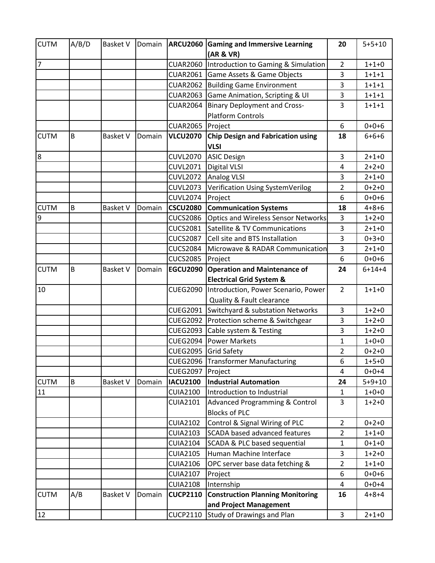| <b>CUTM</b>    | A/B/D | <b>Basket V</b> | Domain |                 | <b>ARCU2060 Gaming and Immersive Learning</b><br>(AR & VR) | 20             | $5 + 5 + 10$ |
|----------------|-------|-----------------|--------|-----------------|------------------------------------------------------------|----------------|--------------|
| 7              |       |                 |        | <b>CUAR2060</b> | Introduction to Gaming & Simulation                        | $\overline{2}$ | $1+1+0$      |
|                |       |                 |        | <b>CUAR2061</b> | Game Assets & Game Objects                                 | 3              | $1 + 1 + 1$  |
|                |       |                 |        | <b>CUAR2062</b> | <b>Building Game Environment</b>                           | 3              | $1 + 1 + 1$  |
|                |       |                 |        | <b>CUAR2063</b> | Game Animation, Scripting & UI                             | 3              | $1 + 1 + 1$  |
|                |       |                 |        | <b>CUAR2064</b> | <b>Binary Deployment and Cross-</b>                        | 3              | $1 + 1 + 1$  |
|                |       |                 |        |                 | <b>Platform Controls</b>                                   |                |              |
|                |       |                 |        | <b>CUAR2065</b> | Project                                                    | 6              | $0+0+6$      |
| <b>CUTM</b>    | B     | <b>Basket V</b> | Domain | <b>VLCU2070</b> | <b>Chip Design and Fabrication using</b><br><b>VLSI</b>    | 18             | $6 + 6 + 6$  |
| 8              |       |                 |        | <b>CUVL2070</b> | <b>ASIC Design</b>                                         | 3              | $2 + 1 + 0$  |
|                |       |                 |        | <b>CUVL2071</b> | <b>Digital VLSI</b>                                        | $\overline{a}$ | $2 + 2 + 0$  |
|                |       |                 |        | <b>CUVL2072</b> | <b>Analog VLSI</b>                                         | 3              | $2 + 1 + 0$  |
|                |       |                 |        | <b>CUVL2073</b> | Verification Using SystemVerilog                           | $\overline{2}$ | $0 + 2 + 0$  |
|                |       |                 |        | <b>CUVL2074</b> | Project                                                    | 6              | $0+0+6$      |
| <b>CUTM</b>    | B     | <b>Basket V</b> | Domain | <b>CSCU2080</b> | <b>Communication Systems</b>                               | 18             | $4 + 8 + 6$  |
| $\overline{9}$ |       |                 |        | <b>CUCS2086</b> | <b>Optics and Wireless Sensor Networks</b>                 | 3              | $1+2+0$      |
|                |       |                 |        | <b>CUCS2081</b> | Satellite & TV Communications                              | 3              | $2 + 1 + 0$  |
|                |       |                 |        | <b>CUCS2087</b> | Cell site and BTS Installation                             | 3              | $0+3+0$      |
|                |       |                 |        | <b>CUCS2084</b> | Microwave & RADAR Communication                            | 3              | $2 + 1 + 0$  |
|                |       |                 |        | <b>CUCS2085</b> | Project                                                    | 6              | $0+0+6$      |
| <b>CUTM</b>    | B     | <b>Basket V</b> | Domain | <b>EGCU2090</b> | <b>Operation and Maintenance of</b>                        | 24             | $6 + 14 + 4$ |
|                |       |                 |        |                 | <b>Electrical Grid System &amp;</b>                        |                |              |
| 10             |       |                 |        | <b>CUEG2090</b> | Introduction, Power Scenario, Power                        | $\overline{2}$ | $1 + 1 + 0$  |
|                |       |                 |        |                 | <b>Quality &amp; Fault clearance</b>                       |                |              |
|                |       |                 |        | <b>CUEG2091</b> | Switchyard & substation Networks                           | 3              | $1+2+0$      |
|                |       |                 |        | <b>CUEG2092</b> | Protection scheme & Switchgear                             | 3              | $1+2+0$      |
|                |       |                 |        | <b>CUEG2093</b> | Cable system & Testing                                     | 3              | $1+2+0$      |
|                |       |                 |        | <b>CUEG2094</b> | <b>Power Markets</b>                                       | 1              | $1+0+0$      |
|                |       |                 |        | <b>CUEG2095</b> | <b>Grid Safety</b>                                         | $\overline{2}$ | $0+2+0$      |
|                |       |                 |        | <b>CUEG2096</b> | <b>Transformer Manufacturing</b>                           | 6              | $1+5+0$      |
|                |       |                 |        | <b>CUEG2097</b> | Project                                                    | 4              | $0+0+4$      |
| <b>CUTM</b>    | B     | <b>Basket V</b> | Domain | <b>IACU2100</b> | <b>Industrial Automation</b>                               | 24             | $5 + 9 + 10$ |
| 11             |       |                 |        | <b>CUIA2100</b> | Introduction to Industrial                                 | 1              | $1+0+0$      |
|                |       |                 |        | <b>CUIA2101</b> | <b>Advanced Programming &amp; Control</b>                  | 3              | $1+2+0$      |
|                |       |                 |        |                 | <b>Blocks of PLC</b>                                       |                |              |
|                |       |                 |        | <b>CUIA2102</b> | Control & Signal Wiring of PLC                             | $\overline{2}$ | $0+2+0$      |
|                |       |                 |        | <b>CUIA2103</b> | <b>SCADA based advanced features</b>                       | $\overline{2}$ | $1 + 1 + 0$  |
|                |       |                 |        | <b>CUIA2104</b> | SCADA & PLC based sequential                               | $\mathbf{1}$   | $0+1+0$      |
|                |       |                 |        | <b>CUIA2105</b> | Human Machine Interface                                    | 3              | $1+2+0$      |
|                |       |                 |        | <b>CUIA2106</b> | OPC server base data fetching &                            | $\overline{2}$ | $1+1+0$      |
|                |       |                 |        | <b>CUIA2107</b> | Project                                                    | 6              | $0+0+6$      |
|                |       |                 |        | <b>CUIA2108</b> | Internship                                                 | 4              | $0+0+4$      |
| <b>CUTM</b>    | A/B   | <b>Basket V</b> | Domain | <b>CUCP2110</b> | <b>Construction Planning Monitoring</b>                    | 16             | $4 + 8 + 4$  |
|                |       |                 |        |                 | and Project Management                                     |                |              |
| 12             |       |                 |        | <b>CUCP2110</b> | <b>Study of Drawings and Plan</b>                          | 3              | $2 + 1 + 0$  |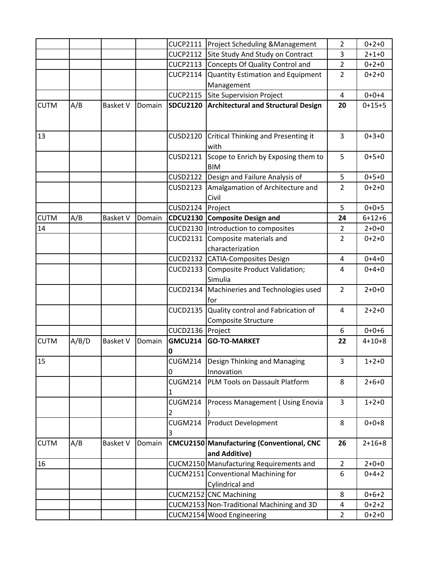|             |       |                 |        | <b>CUCP2111</b>     | <b>Project Scheduling &amp; Management</b>                 | $\overline{2}$ | $0 + 2 + 0$  |
|-------------|-------|-----------------|--------|---------------------|------------------------------------------------------------|----------------|--------------|
|             |       |                 |        | <b>CUCP2112</b>     | Site Study And Study on Contract                           | 3              | $2 + 1 + 0$  |
|             |       |                 |        | <b>CUCP2113</b>     | Concepts Of Quality Control and                            | $\overline{2}$ | $0 + 2 + 0$  |
|             |       |                 |        | <b>CUCP2114</b>     | <b>Quantity Estimation and Equipment</b>                   | $\overline{2}$ | $0 + 2 + 0$  |
|             |       |                 |        |                     | Management                                                 |                |              |
|             |       |                 |        | <b>CUCP2115</b>     | Site Supervision Project                                   | 4              | $0+0+4$      |
| <b>CUTM</b> | A/B   | <b>Basket V</b> | Domain | <b>SDCU2120</b>     | <b>Architectural and Structural Design</b>                 | 20             | $0+15+5$     |
| 13          |       |                 |        | <b>CUSD2120</b>     | <b>Critical Thinking and Presenting it</b><br>with         | 3              | $0 + 3 + 0$  |
|             |       |                 |        | CUSD2121            | Scope to Enrich by Exposing them to<br><b>BIM</b>          | 5              | $0+5+0$      |
|             |       |                 |        | <b>CUSD2122</b>     | Design and Failure Analysis of                             | 5              | $0+5+0$      |
|             |       |                 |        | <b>CUSD2123</b>     | Amalgamation of Architecture and<br>Civil                  | $\overline{2}$ | $0 + 2 + 0$  |
|             |       |                 |        | <b>CUSD2124</b>     | Project                                                    | 5              | $0+0+5$      |
| <b>CUTM</b> | A/B   | <b>Basket V</b> | Domain | <b>CDCU2130</b>     | <b>Composite Design and</b>                                | 24             | $6 + 12 + 6$ |
| 14          |       |                 |        |                     | CUCD2130  Introduction to composites                       | $\overline{2}$ | $2 + 0 + 0$  |
|             |       |                 |        | <b>CUCD2131</b>     | Composite materials and<br>characterization                | $\overline{2}$ | $0 + 2 + 0$  |
|             |       |                 |        |                     | CUCD2132 CATIA-Composites Design                           | 4              | $0 + 4 + 0$  |
|             |       |                 |        | <b>CUCD2133</b>     | <b>Composite Product Validation;</b><br>Simulia            | $\overline{4}$ | $0 + 4 + 0$  |
|             |       |                 |        | <b>CUCD2134</b>     | Machineries and Technologies used<br>lfor                  | $\overline{2}$ | $2 + 0 + 0$  |
|             |       |                 |        | <b>CUCD2135</b>     | Quality control and Fabrication of<br>Composite Structure  | 4              | $2 + 2 + 0$  |
|             |       |                 |        | CUCD2136 Project    |                                                            | 6              | $0+0+6$      |
| <b>CUTM</b> | A/B/D | <b>Basket V</b> | Domain | <b>GMCU214</b><br>0 | <b>GO-TO-MARKET</b>                                        | 22             | $4 + 10 + 8$ |
| 15          |       |                 |        | CUGM214<br>0        | Design Thinking and Managing<br>Innovation                 | 3              | $1+2+0$      |
|             |       |                 |        | <b>CUGM214</b><br>1 | PLM Tools on Dassault Platform                             | 8              | $2 + 6 + 0$  |
|             |       |                 |        | CUGM214<br>2        | Process Management ( Using Enovia                          | 3              | $1+2+0$      |
|             |       |                 |        | CUGM214<br>3        | <b>Product Development</b>                                 | 8              | $0+0+8$      |
| <b>CUTM</b> | A/B   | <b>Basket V</b> | Domain |                     | CMCU2150 Manufacturing (Conventional, CNC<br>and Additive) | 26             | $2+16+8$     |
| 16          |       |                 |        |                     | CUCM2150 Manufacturing Requirements and                    | $\overline{2}$ | $2 + 0 + 0$  |
|             |       |                 |        |                     | CUCM2151 Conventional Machining for<br>Cylindrical and     | 6              | $0+4+2$      |
|             |       |                 |        |                     | CUCM2152 CNC Machining                                     | 8              | $0+6+2$      |
|             |       |                 |        |                     | CUCM2153 Non-Traditional Machining and 3D                  | 4              | $0+2+2$      |
|             |       |                 |        |                     | CUCM2154 Wood Engineering                                  | $\overline{2}$ | $0+2+0$      |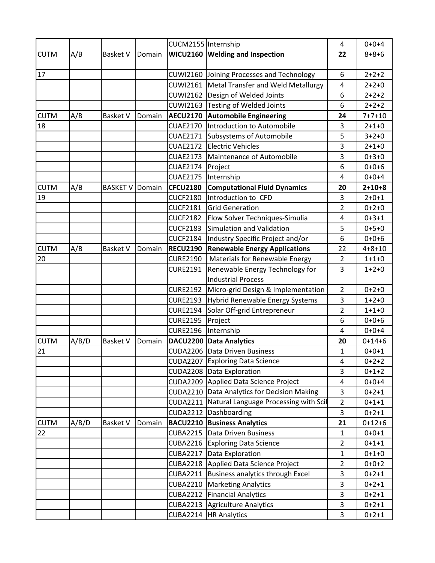|             |       |                 |        | CUCM2155 Internship |                                           | 4              | $0 + 0 + 4$  |
|-------------|-------|-----------------|--------|---------------------|-------------------------------------------|----------------|--------------|
| <b>CUTM</b> | A/B   | <b>Basket V</b> | Domain |                     | WICU2160 Welding and Inspection           | 22             | $8 + 8 + 6$  |
|             |       |                 |        |                     |                                           |                |              |
| 17          |       |                 |        |                     | CUWI2160 Joining Processes and Technology | 6              | $2+2+2$      |
|             |       |                 |        | <b>CUWI2161</b>     | Metal Transfer and Weld Metallurgy        | $\overline{a}$ | $2 + 2 + 0$  |
|             |       |                 |        |                     | CUWI2162 Design of Welded Joints          | 6              | $2 + 2 + 2$  |
|             |       |                 |        |                     | CUWI2163 Testing of Welded Joints         | 6              | $2+2+2$      |
| <b>CUTM</b> | A/B   | <b>Basket V</b> | Domain | <b>AECU2170</b>     | <b>Automobile Engineering</b>             | 24             | $7 + 7 + 10$ |
| 18          |       |                 |        | <b>CUAE2170</b>     | Introduction to Automobile                | 3              | $2 + 1 + 0$  |
|             |       |                 |        | <b>CUAE2171</b>     | Subsystems of Automobile                  | 5              | $3 + 2 + 0$  |
|             |       |                 |        | <b>CUAE2172</b>     | <b>Electric Vehicles</b>                  | 3              | $2 + 1 + 0$  |
|             |       |                 |        | <b>CUAE2173</b>     | Maintenance of Automobile                 | 3              | $0+3+0$      |
|             |       |                 |        | <b>CUAE2174</b>     | Project                                   | 6              | $0+0+6$      |
|             |       |                 |        | <b>CUAE2175</b>     | Internship                                | $\overline{a}$ | $0+0+4$      |
| <b>CUTM</b> | A/B   | <b>BASKET V</b> | Domain | <b>CFCU2180</b>     | <b>Computational Fluid Dynamics</b>       | 20             | $2 + 10 + 8$ |
| 19          |       |                 |        | <b>CUCF2180</b>     | Introduction to CFD                       | 3              | $2 + 0 + 1$  |
|             |       |                 |        | <b>CUCF2181</b>     | <b>Grid Generation</b>                    | $\overline{2}$ | $0 + 2 + 0$  |
|             |       |                 |        | <b>CUCF2182</b>     | Flow Solver Techniques-Simulia            | 4              | $0+3+1$      |
|             |       |                 |        | <b>CUCF2183</b>     | Simulation and Validation                 | 5              | $0+5+0$      |
|             |       |                 |        | <b>CUCF2184</b>     | Industry Specific Project and/or          | 6              | $0+0+6$      |
| <b>CUTM</b> | A/B   | <b>Basket V</b> | Domain | <b>RECU2190</b>     | <b>Renewable Energy Applications</b>      | 22             | $4 + 8 + 10$ |
| 20          |       |                 |        | <b>CURE2190</b>     | Materials for Renewable Energy            | $\overline{2}$ | $1 + 1 + 0$  |
|             |       |                 |        | <b>CURE2191</b>     | Renewable Energy Technology for           | 3              | $1+2+0$      |
|             |       |                 |        |                     | <b>Industrial Process</b>                 |                |              |
|             |       |                 |        | <b>CURE2192</b>     | Micro-grid Design & Implementation        | $\overline{2}$ | $0 + 2 + 0$  |
|             |       |                 |        | <b>CURE2193</b>     | Hybrid Renewable Energy Systems           | 3              | $1+2+0$      |
|             |       |                 |        | <b>CURE2194</b>     | Solar Off-grid Entrepreneur               | $\overline{2}$ | $1+1+0$      |
|             |       |                 |        | <b>CURE2195</b>     | Project                                   | 6              | $0+0+6$      |
|             |       |                 |        | <b>CURE2196</b>     | Internship                                | 4              | $0+0+4$      |
| <b>CUTM</b> | A/B/D | <b>Basket V</b> | Domain |                     | DACU2200 Data Analytics                   | 20             | $0+14+6$     |
| 21          |       |                 |        | <b>CUDA2206</b>     | Data Driven Business                      | $\mathbf{1}$   | $0 + 0 + 1$  |
|             |       |                 |        |                     | CUDA2207 Exploring Data Science           | 4              | $0+2+2$      |
|             |       |                 |        |                     | CUDA2208 Data Exploration                 | 3              | $0+1+2$      |
|             |       |                 |        |                     | CUDA2209 Applied Data Science Project     | 4              | $0+0+4$      |
|             |       |                 |        | <b>CUDA2210</b>     | Data Analytics for Decision Making        | 3              | $0+2+1$      |
|             |       |                 |        | <b>CUDA2211</b>     | Natural Language Processing with Scil     | $\overline{2}$ | $0+1+1$      |
|             |       |                 |        |                     | CUDA2212 Dashboarding                     | 3              | $0+2+1$      |
| <b>CUTM</b> | A/B/D | <b>Basket V</b> | Domain | <b>BACU2210</b>     | <b>Business Analytics</b>                 | 21             | $0+12+6$     |
| 22          |       |                 |        | <b>CUBA2215</b>     | Data Driven Business                      | $\mathbf{1}$   | $0 + 0 + 1$  |
|             |       |                 |        | <b>CUBA2216</b>     | <b>Exploring Data Science</b>             | $\overline{2}$ | $0+1+1$      |
|             |       |                 |        | <b>CUBA2217</b>     | Data Exploration                          | $\mathbf{1}$   | $0 + 1 + 0$  |
|             |       |                 |        | <b>CUBA2218</b>     | Applied Data Science Project              | $\overline{2}$ | $0+0+2$      |
|             |       |                 |        | <b>CUBA2211</b>     | Business analytics through Excel          | 3              | $0+2+1$      |
|             |       |                 |        |                     | CUBA2210   Marketing Analytics            | 3              | $0+2+1$      |
|             |       |                 |        | <b>CUBA2212</b>     | <b>Financial Analytics</b>                | 3              | $0+2+1$      |
|             |       |                 |        | <b>CUBA2213</b>     | <b>Agriculture Analytics</b>              | 3              | $0+2+1$      |
|             |       |                 |        |                     | CUBA2214   HR Analytics                   | 3              | $0+2+1$      |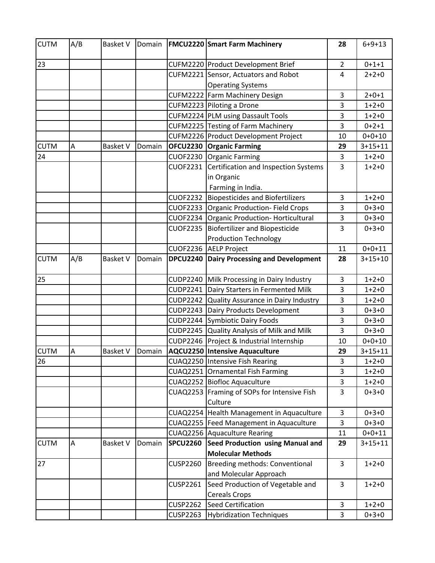| <b>CUTM</b> | A/B | <b>Basket V</b> | Domain |                 | <b>FMCU2220 Smart Farm Machinery</b>                                    | 28             | $6 + 9 + 13$ |
|-------------|-----|-----------------|--------|-----------------|-------------------------------------------------------------------------|----------------|--------------|
| 23          |     |                 |        |                 | CUFM2220 Product Development Brief                                      | $\overline{2}$ | $0 + 1 + 1$  |
|             |     |                 |        |                 | CUFM2221 Sensor, Actuators and Robot                                    | 4              | $2 + 2 + 0$  |
|             |     |                 |        |                 | <b>Operating Systems</b>                                                |                |              |
|             |     |                 |        |                 | CUFM2222 Farm Machinery Design                                          | 3              | $2 + 0 + 1$  |
|             |     |                 |        |                 | CUFM2223 Piloting a Drone                                               | 3              | $1+2+0$      |
|             |     |                 |        |                 | CUFM2224 PLM using Dassault Tools                                       | 3              | $1+2+0$      |
|             |     |                 |        |                 | CUFM2225 Testing of Farm Machinery                                      | 3              | $0+2+1$      |
|             |     |                 |        |                 | CUFM2226 Product Development Project                                    | 10             | $0+0+10$     |
| <b>CUTM</b> | Α   | <b>Basket V</b> | Domain |                 | <b>OFCU2230 Organic Farming</b>                                         | 29             | $3+15+11$    |
| 24          |     |                 |        |                 | CUOF2230 Organic Farming                                                | 3              | $1+2+0$      |
|             |     |                 |        | <b>CUOF2231</b> | Certification and Inspection Systems<br>in Organic<br>Farming in India. | 3              | $1+2+0$      |
|             |     |                 |        | <b>CUOF2232</b> | <b>Biopesticides and Biofertilizers</b>                                 | 3              | $1+2+0$      |
|             |     |                 |        |                 | CUOF2233 Organic Production- Field Crops                                | 3              | $0+3+0$      |
|             |     |                 |        |                 | CUOF2234 Organic Production-Horticultural                               | 3              | $0+3+0$      |
|             |     |                 |        | <b>CUOF2235</b> | <b>Biofertilizer and Biopesticide</b>                                   | 3              | $0+3+0$      |
|             |     |                 |        |                 | <b>Production Technology</b>                                            |                |              |
|             |     |                 |        |                 | CUOF2236 AELP Project                                                   | 11             | $0+0+11$     |
| <b>CUTM</b> | A/B | <b>Basket V</b> | Domain | <b>DPCU2240</b> | Dairy Processing and Development                                        | 28             | $3+15+10$    |
| 25          |     |                 |        |                 | CUDP2240 Milk Processing in Dairy Industry                              | $\overline{3}$ | $1+2+0$      |
|             |     |                 |        | <b>CUDP2241</b> | Dairy Starters in Fermented Milk                                        | 3              | $1+2+0$      |
|             |     |                 |        | <b>CUDP2242</b> | Quality Assurance in Dairy Industry                                     | 3              | $1+2+0$      |
|             |     |                 |        |                 | CUDP2243 Dairy Products Development                                     | 3              | $0+3+0$      |
|             |     |                 |        |                 | CUDP2244 Symbiotic Dairy Foods                                          | 3              | $0+3+0$      |
|             |     |                 |        |                 | CUDP2245 Quality Analysis of Milk and Milk                              | 3              | $0+3+0$      |
|             |     |                 |        |                 | CUDP2246 Project & Industrial Internship                                | 10             | $0+0+10$     |
| <b>CUTM</b> | A   | <b>Basket V</b> | Domain |                 | AQCU2250 Intensive Aquaculture                                          | 29             | $3+15+11$    |
| 26          |     |                 |        |                 | CUAQ2250 Intensive Fish Rearing                                         | 3              | $1+2+0$      |
|             |     |                 |        |                 | CUAQ2251 Ornamental Fish Farming                                        | 3              | $1+2+0$      |
|             |     |                 |        |                 | CUAQ2252 Biofloc Aquaculture                                            | 3              | $1+2+0$      |
|             |     |                 |        |                 | CUAQ2253 Framing of SOPs for Intensive Fish<br>Culture                  | 3              | $0+3+0$      |
|             |     |                 |        |                 | CUAQ2254 Health Management in Aquaculture                               | 3              | $0+3+0$      |
|             |     |                 |        |                 | CUAQ2255 Feed Management in Aquaculture                                 | 3              | $0+3+0$      |
|             |     |                 |        |                 | CUAQ2256 Aquaculture Rearing                                            | 11             | $0+0+11$     |
| <b>CUTM</b> | А   | <b>Basket V</b> | Domain | <b>SPCU2260</b> | <b>Seed Production using Manual and</b>                                 | 29             | $3+15+11$    |
|             |     |                 |        |                 | <b>Molecular Methods</b>                                                |                |              |
| 27          |     |                 |        | <b>CUSP2260</b> | Breeding methods: Conventional                                          | 3              | $1+2+0$      |
|             |     |                 |        |                 | and Molecular Approach                                                  |                |              |
|             |     |                 |        | <b>CUSP2261</b> | Seed Production of Vegetable and                                        | $\overline{3}$ | $1+2+0$      |
|             |     |                 |        |                 | <b>Cereals Crops</b>                                                    |                |              |
|             |     |                 |        | <b>CUSP2262</b> | <b>Seed Certification</b>                                               | 3              | $1+2+0$      |
|             |     |                 |        | <b>CUSP2263</b> | <b>Hybridization Techniques</b>                                         | 3              | $0+3+0$      |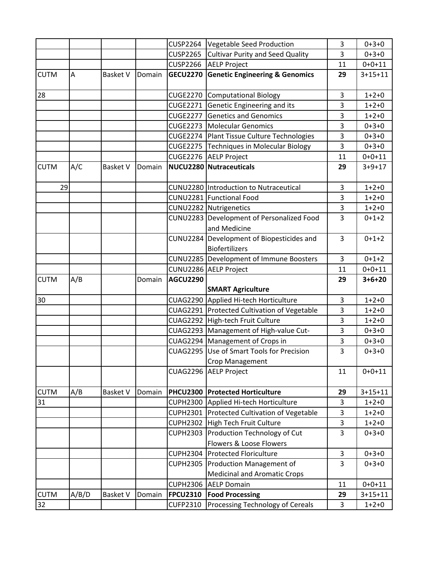|             |       |                 |        | <b>CUSP2264</b> | Vegetable Seed Production                     | 3              | $0+3+0$       |
|-------------|-------|-----------------|--------|-----------------|-----------------------------------------------|----------------|---------------|
|             |       |                 |        | <b>CUSP2265</b> | <b>Cultivar Purity and Seed Quality</b>       | 3              | $0+3+0$       |
|             |       |                 |        | <b>CUSP2266</b> | <b>AELP Project</b>                           | 11             | $0+0+11$      |
| <b>CUTM</b> | A     | <b>Basket V</b> | Domain | <b>GECU2270</b> | <b>Genetic Engineering &amp; Genomics</b>     | 29             | $3 + 15 + 11$ |
|             |       |                 |        |                 |                                               |                |               |
| 28          |       |                 |        | <b>CUGE2270</b> | Computational Biology                         | 3              | $1+2+0$       |
|             |       |                 |        | <b>CUGE2271</b> | Genetic Engineering and its                   | 3              | $1+2+0$       |
|             |       |                 |        | <b>CUGE2277</b> | <b>Genetics and Genomics</b>                  | 3              | $1+2+0$       |
|             |       |                 |        | <b>CUGE2273</b> | <b>Molecular Genomics</b>                     | 3              | $0 + 3 + 0$   |
|             |       |                 |        | <b>CUGE2274</b> | Plant Tissue Culture Technologies             | 3              | $0 + 3 + 0$   |
|             |       |                 |        | <b>CUGE2275</b> | Techniques in Molecular Biology               | 3              | $0+3+0$       |
|             |       |                 |        | <b>CUGE2276</b> | <b>AELP Project</b>                           | 11             | $0+0+11$      |
| <b>CUTM</b> | A/C   | <b>Basket V</b> | Domain |                 | NUCU2280 Nutraceuticals                       | 29             | $3 + 9 + 17$  |
|             |       |                 |        |                 |                                               |                |               |
| 29          |       |                 |        |                 | CUNU2280 Introduction to Nutraceutical        | 3              | $1+2+0$       |
|             |       |                 |        |                 | CUNU2281 Functional Food                      | 3              | $1+2+0$       |
|             |       |                 |        |                 | CUNU2282 Nutrigenetics                        | 3              | $1+2+0$       |
|             |       |                 |        |                 | CUNU2283 Development of Personalized Food     | 3              | $0+1+2$       |
|             |       |                 |        |                 | and Medicine                                  |                |               |
|             |       |                 |        |                 | CUNU2284 Development of Biopesticides and     | $\overline{3}$ | $0+1+2$       |
|             |       |                 |        |                 | <b>Biofertilizers</b>                         |                |               |
|             |       |                 |        |                 | CUNU2285 Development of Immune Boosters       | 3              | $0+1+2$       |
|             |       |                 |        |                 | CUNU2286 AELP Project                         | 11             | $0+0+11$      |
|             |       |                 |        |                 |                                               |                |               |
| <b>CUTM</b> | A/B   |                 | Domain | <b>AGCU2290</b> |                                               | 29             | $3 + 6 + 20$  |
|             |       |                 |        |                 | <b>SMART Agriculture</b>                      |                |               |
| 30          |       |                 |        |                 | CUAG2290 Applied Hi-tech Horticulture         | 3              | $1+2+0$       |
|             |       |                 |        |                 | CUAG2291   Protected Cultivation of Vegetable | 3              | $1+2+0$       |
|             |       |                 |        |                 | CUAG2292 High-tech Fruit Culture              | 3              | $1+2+0$       |
|             |       |                 |        |                 | CUAG2293   Management of High-value Cut-      | 3              | $0+3+0$       |
|             |       |                 |        |                 | CUAG2294   Management of Crops in             | 3              | $0 + 3 + 0$   |
|             |       |                 |        |                 | CUAG2295 Use of Smart Tools for Precision     | 3              | $0+3+0$       |
|             |       |                 |        |                 | Crop Management                               |                |               |
|             |       |                 |        |                 | CUAG2296 AELP Project                         | 11             | $0+0+11$      |
|             |       |                 |        |                 |                                               |                |               |
| <b>CUTM</b> | A/B   | <b>Basket V</b> | Domain | <b>PHCU2300</b> | <b>Protected Horticulture</b>                 | 29             | $3 + 15 + 11$ |
| 31          |       |                 |        | <b>CUPH2300</b> | Applied Hi-tech Horticulture                  | 3              | $1+2+0$       |
|             |       |                 |        | <b>CUPH2301</b> | Protected Cultivation of Vegetable            | 3              | $1+2+0$       |
|             |       |                 |        | <b>CUPH2302</b> | High Tech Fruit Culture                       | 3              | $1+2+0$       |
|             |       |                 |        | <b>CUPH2303</b> | Production Technology of Cut                  | 3              | $0+3+0$       |
|             |       |                 |        |                 | Flowers & Loose Flowers                       |                |               |
|             |       |                 |        | <b>CUPH2304</b> | <b>Protected Floriculture</b>                 | 3              | $0+3+0$       |
|             |       |                 |        | <b>CUPH2305</b> | <b>Production Management of</b>               | 3              | $0+3+0$       |
|             |       |                 |        |                 | <b>Medicinal and Aromatic Crops</b>           |                |               |
|             |       |                 |        | <b>CUPH2306</b> | <b>AELP Domain</b>                            | 11             | $0+0+11$      |
| <b>CUTM</b> | A/B/D | <b>Basket V</b> | Domain | <b>FPCU2310</b> | <b>Food Processing</b>                        | 29             | $3 + 15 + 11$ |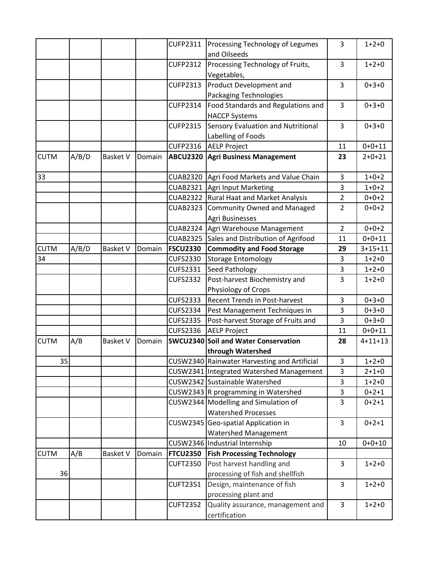|             |       |                 |        | <b>CUFP2311</b>                    | Processing Technology of Legumes<br>and Oilseeds           | 3              | $1+2+0$       |
|-------------|-------|-----------------|--------|------------------------------------|------------------------------------------------------------|----------------|---------------|
|             |       |                 |        | <b>CUFP2312</b>                    | Processing Technology of Fruits,<br>Vegetables,            | 3              | $1+2+0$       |
|             |       |                 |        | <b>CUFP2313</b>                    | Product Development and<br><b>Packaging Technologies</b>   | 3              | $0+3+0$       |
|             |       |                 |        | <b>CUFP2314</b>                    | Food Standards and Regulations and<br><b>HACCP Systems</b> | 3              | $0 + 3 + 0$   |
|             |       |                 |        | <b>CUFP2315</b>                    | Sensory Evaluation and Nutritional<br>Labelling of Foods   | $\overline{3}$ | $0+3+0$       |
|             |       |                 |        | <b>CUFP2316</b>                    | <b>AELP Project</b>                                        | 11             | $0+0+11$      |
| <b>CUTM</b> | A/B/D | <b>Basket V</b> | Domain | <b>ABCU2320</b>                    | <b>Agri Business Management</b>                            | 23             | $2+0+21$      |
| 33          |       |                 |        | <b>CUAB2320</b>                    | Agri Food Markets and Value Chain                          | $\overline{3}$ | $1+0+2$       |
|             |       |                 |        | <b>CUAB2321</b>                    | Agri Input Marketing                                       | 3              | $1+0+2$       |
|             |       |                 |        | <b>CUAB2322</b>                    | <b>Rural Haat and Market Analysis</b>                      | $\overline{2}$ | $0+0+2$       |
|             |       |                 |        | <b>CUAB2323</b>                    | Community Owned and Managed<br>Agri Businesses             | $\overline{2}$ | $0+0+2$       |
|             |       |                 |        | <b>CUAB2324</b>                    | Agri Warehouse Management                                  | $\overline{2}$ | $0+0+2$       |
|             |       |                 |        | <b>CUAB2325</b>                    | Sales and Distribution of Agrifood                         | 11             | $0+0+11$      |
| <b>CUTM</b> | A/B/D | <b>Basket V</b> | Domain | <b>FSCU2330</b>                    | <b>Commodity and Food Storage</b>                          | 29             | $3 + 15 + 11$ |
| 34          |       |                 |        | <b>CUFS2330</b>                    | <b>Storage Entomology</b>                                  | 3              | $1+2+0$       |
|             |       |                 |        | <b>CUFS2331</b>                    | Seed Pathology                                             | 3              | $1+2+0$       |
|             |       |                 |        | <b>CUFS2332</b>                    | Post-harvest Biochemistry and                              | 3              | $1+2+0$       |
|             |       |                 |        |                                    | Physiology of Crops                                        |                |               |
|             |       |                 |        | <b>CUFS2333</b>                    | <b>Recent Trends in Post-harvest</b>                       | 3              | $0 + 3 + 0$   |
|             |       |                 |        | <b>CUFS2334</b>                    | Pest Management Techniques in                              | 3              | $0+3+0$       |
|             |       |                 |        | <b>CUFS2335</b><br><b>CUFS2336</b> | Post-harvest Storage of Fruits and                         | 3              | $0+3+0$       |
| <b>CUTM</b> |       |                 |        |                                    | <b>AELP Project</b>                                        | 11             | $0+0+11$      |
|             | A/B   | <b>Basket V</b> | Domain |                                    | SWCU2340 Soil and Water Conservation<br>through Watershed  | 28             | $4 + 11 + 13$ |
| 35          |       |                 |        |                                    | CUSW2340 Rainwater Harvesting and Artificial               | 3              | $1+2+0$       |
|             |       |                 |        |                                    | CUSW2341 Integrated Watershed Management                   | 3              | $2 + 1 + 0$   |
|             |       |                 |        |                                    | CUSW2342 Sustainable Watershed                             | 3              | $1+2+0$       |
|             |       |                 |        |                                    | CUSW2343 R programming in Watershed                        | 3              | $0+2+1$       |
|             |       |                 |        |                                    | CUSW2344 Modelling and Simulation of                       | 3              | $0+2+1$       |
|             |       |                 |        |                                    | <b>Watershed Processes</b>                                 |                |               |
|             |       |                 |        |                                    | CUSW2345 Geo-spatial Application in                        | 3              | $0+2+1$       |
|             |       |                 |        |                                    | <b>Watershed Management</b>                                |                |               |
|             |       |                 |        |                                    | CUSW2346 Industrial Internship                             | 10             | $0+0+10$      |
| <b>CUTM</b> | A/B   | <b>Basket V</b> | Domain | <b>FTCU2350</b>                    | <b>Fish Processing Technology</b>                          |                |               |
|             |       |                 |        | <b>CUFT2350</b>                    | Post harvest handling and                                  | 3              | $1+2+0$       |
| 36          |       |                 |        |                                    | processing of fish and shellfish                           |                |               |
|             |       |                 |        | <b>CUFT2351</b>                    | Design, maintenance of fish                                | 3              | $1+2+0$       |
|             |       |                 |        |                                    | processing plant and                                       |                |               |
|             |       |                 |        | <b>CUFT2352</b>                    | Quality assurance, management and<br>certification         | 3              | $1+2+0$       |